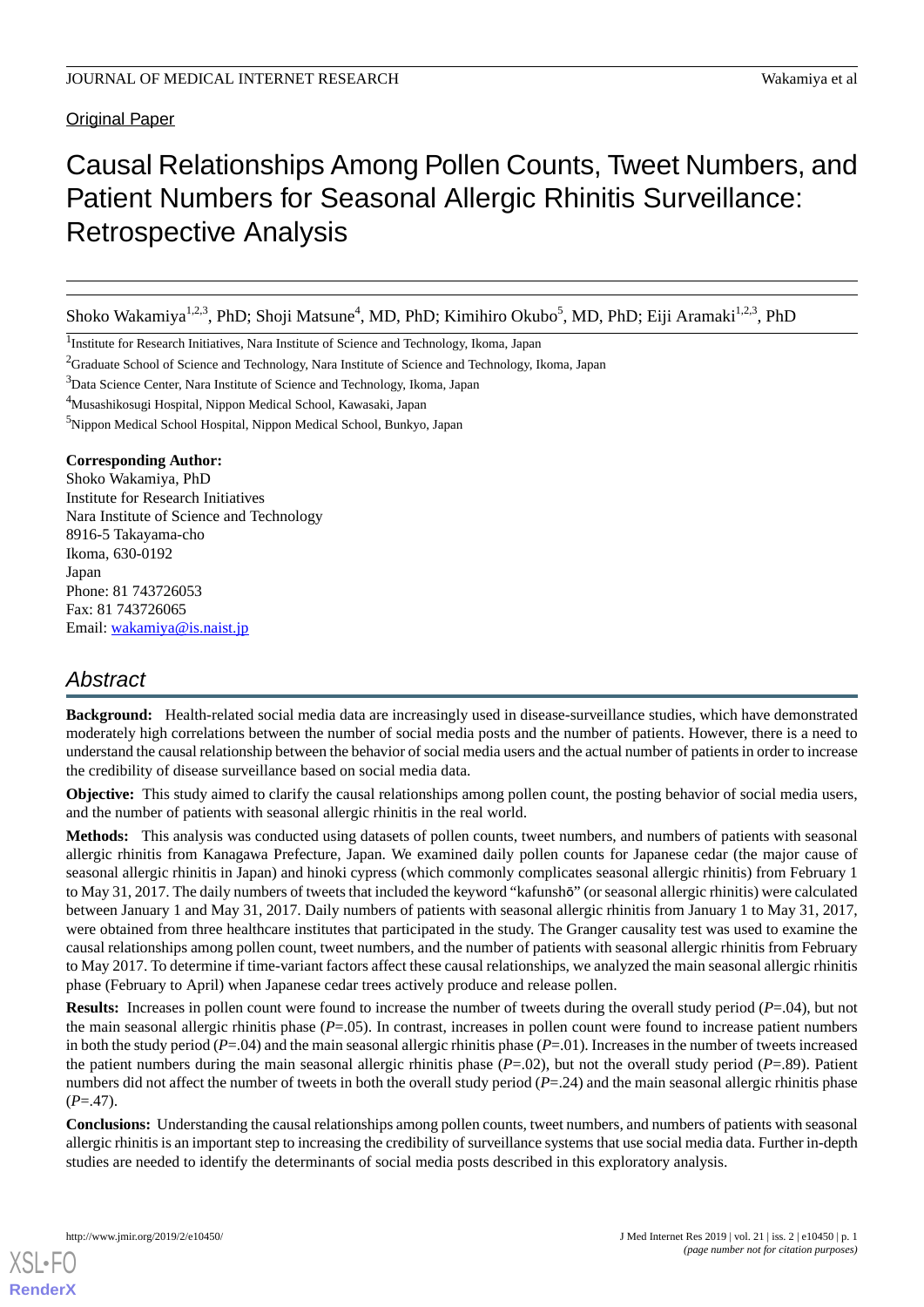#### **Original Paper**

# Causal Relationships Among Pollen Counts, Tweet Numbers, and Patient Numbers for Seasonal Allergic Rhinitis Surveillance: Retrospective Analysis

Shoko Wakamiya<sup>1,2,3</sup>, PhD; Shoji Matsune<sup>4</sup>, MD, PhD; Kimihiro Okubo<sup>5</sup>, MD, PhD; Eiji Aramaki<sup>1,2,3</sup>, PhD

<sup>1</sup>Institute for Research Initiatives, Nara Institute of Science and Technology, Ikoma, Japan

<sup>2</sup>Graduate School of Science and Technology, Nara Institute of Science and Technology, Ikoma, Japan

<sup>3</sup>Data Science Center, Nara Institute of Science and Technology, Ikoma, Japan

<sup>4</sup>Musashikosugi Hospital, Nippon Medical School, Kawasaki, Japan

<sup>5</sup>Nippon Medical School Hospital, Nippon Medical School, Bunkyo, Japan

#### **Corresponding Author:**

Shoko Wakamiya, PhD Institute for Research Initiatives Nara Institute of Science and Technology 8916-5 Takayama-cho Ikoma, 630-0192 Japan Phone: 81 743726053 Fax: 81 743726065 Email: [wakamiya@is.naist.jp](mailto:wakamiya@is.naist.jp)

## *Abstract*

**Background:** Health-related social media data are increasingly used in disease-surveillance studies, which have demonstrated moderately high correlations between the number of social media posts and the number of patients. However, there is a need to understand the causal relationship between the behavior of social media users and the actual number of patients in order to increase the credibility of disease surveillance based on social media data.

**Objective:** This study aimed to clarify the causal relationships among pollen count, the posting behavior of social media users, and the number of patients with seasonal allergic rhinitis in the real world.

**Methods:** This analysis was conducted using datasets of pollen counts, tweet numbers, and numbers of patients with seasonal allergic rhinitis from Kanagawa Prefecture, Japan. We examined daily pollen counts for Japanese cedar (the major cause of seasonal allergic rhinitis in Japan) and hinoki cypress (which commonly complicates seasonal allergic rhinitis) from February 1 to May 31, 2017. The daily numbers of tweets that included the keyword "kafunshō" (or seasonal allergic rhinitis) were calculated between January 1 and May 31, 2017. Daily numbers of patients with seasonal allergic rhinitis from January 1 to May 31, 2017, were obtained from three healthcare institutes that participated in the study. The Granger causality test was used to examine the causal relationships among pollen count, tweet numbers, and the number of patients with seasonal allergic rhinitis from February to May 2017. To determine if time-variant factors affect these causal relationships, we analyzed the main seasonal allergic rhinitis phase (February to April) when Japanese cedar trees actively produce and release pollen.

**Results:** Increases in pollen count were found to increase the number of tweets during the overall study period (*P*=.04), but not the main seasonal allergic rhinitis phase (*P*=.05). In contrast, increases in pollen count were found to increase patient numbers in both the study period (*P*=.04) and the main seasonal allergic rhinitis phase (*P*=.01). Increases in the number of tweets increased the patient numbers during the main seasonal allergic rhinitis phase  $(P=.02)$ , but not the overall study period  $(P=.89)$ . Patient numbers did not affect the number of tweets in both the overall study period (*P*=.24) and the main seasonal allergic rhinitis phase  $(P = .47)$ .

**Conclusions:** Understanding the causal relationships among pollen counts, tweet numbers, and numbers of patients with seasonal allergic rhinitis is an important step to increasing the credibility of surveillance systems that use social media data. Further in-depth studies are needed to identify the determinants of social media posts described in this exploratory analysis.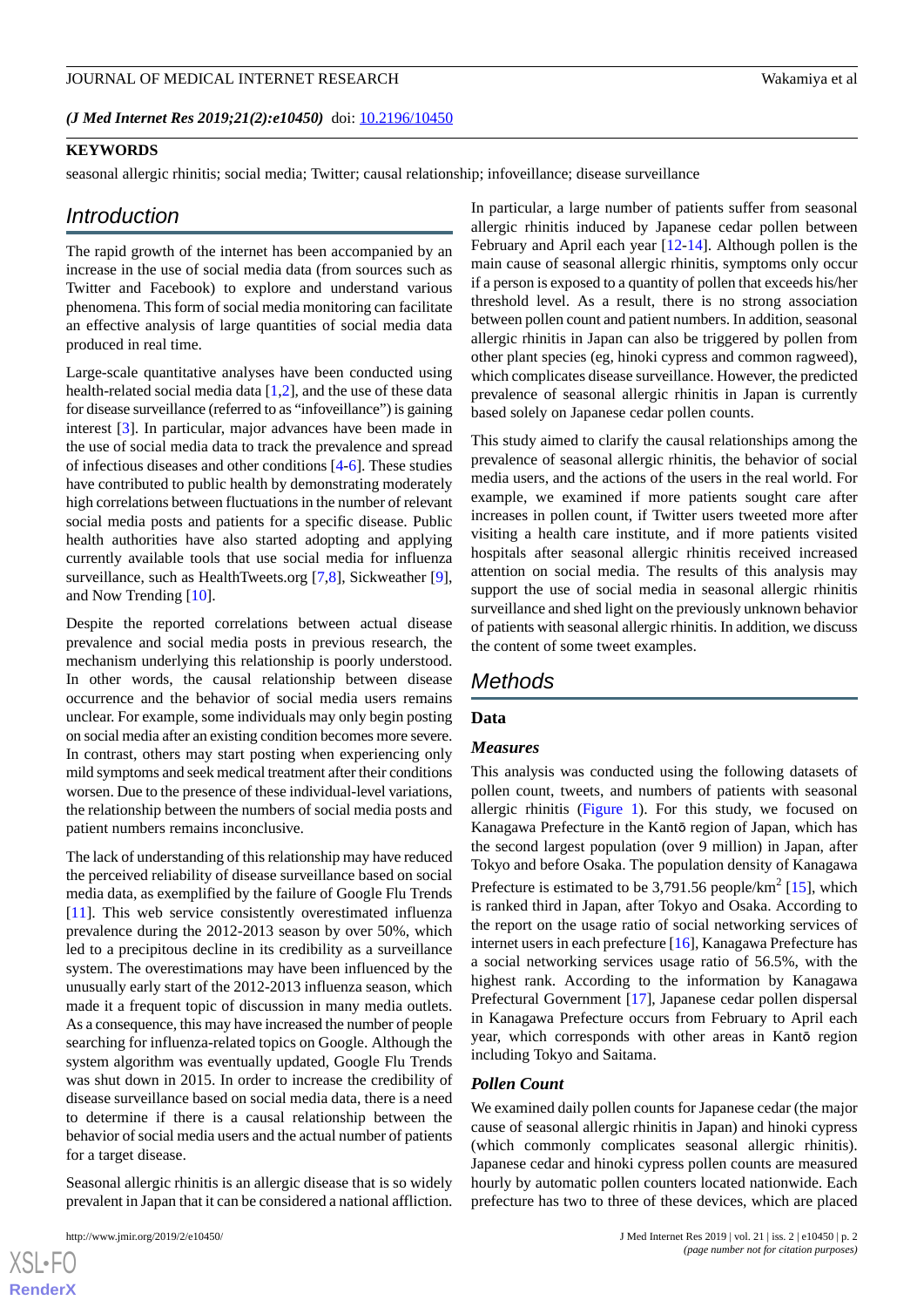#### (*J Med Internet Res 2019;21(2):e10450*) doi:  $10.2196/10450$

#### **KEYWORDS**

seasonal allergic rhinitis; social media; Twitter; causal relationship; infoveillance; disease surveillance

#### *Introduction*

The rapid growth of the internet has been accompanied by an increase in the use of social media data (from sources such as Twitter and Facebook) to explore and understand various phenomena. This form of social media monitoring can facilitate an effective analysis of large quantities of social media data produced in real time.

Large-scale quantitative analyses have been conducted using health-related social media data [\[1](#page-9-0),[2\]](#page-9-1), and the use of these data for disease surveillance (referred to as "infoveillance") is gaining interest [[3\]](#page-9-2). In particular, major advances have been made in the use of social media data to track the prevalence and spread of infectious diseases and other conditions [\[4](#page-9-3)-[6\]](#page-9-4). These studies have contributed to public health by demonstrating moderately high correlations between fluctuations in the number of relevant social media posts and patients for a specific disease. Public health authorities have also started adopting and applying currently available tools that use social media for influenza surveillance, such as HealthTweets.org [\[7](#page-9-5),[8\]](#page-9-6), Sickweather [[9\]](#page-9-7), and Now Trending [\[10](#page-9-8)].

Despite the reported correlations between actual disease prevalence and social media posts in previous research, the mechanism underlying this relationship is poorly understood. In other words, the causal relationship between disease occurrence and the behavior of social media users remains unclear. For example, some individuals may only begin posting on social media after an existing condition becomes more severe. In contrast, others may start posting when experiencing only mild symptoms and seek medical treatment after their conditions worsen. Due to the presence of these individual-level variations, the relationship between the numbers of social media posts and patient numbers remains inconclusive.

The lack of understanding of this relationship may have reduced the perceived reliability of disease surveillance based on social media data, as exemplified by the failure of Google Flu Trends [[11\]](#page-9-9). This web service consistently overestimated influenza prevalence during the 2012-2013 season by over 50%, which led to a precipitous decline in its credibility as a surveillance system. The overestimations may have been influenced by the unusually early start of the 2012-2013 influenza season, which made it a frequent topic of discussion in many media outlets. As a consequence, this may have increased the number of people searching for influenza-related topics on Google. Although the system algorithm was eventually updated, Google Flu Trends was shut down in 2015. In order to increase the credibility of disease surveillance based on social media data, there is a need to determine if there is a causal relationship between the behavior of social media users and the actual number of patients for a target disease.

Seasonal allergic rhinitis is an allergic disease that is so widely prevalent in Japan that it can be considered a national affliction.

In particular, a large number of patients suffer from seasonal allergic rhinitis induced by Japanese cedar pollen between February and April each year [[12-](#page-9-10)[14\]](#page-9-11). Although pollen is the main cause of seasonal allergic rhinitis, symptoms only occur if a person is exposed to a quantity of pollen that exceeds his/her threshold level. As a result, there is no strong association between pollen count and patient numbers. In addition, seasonal allergic rhinitis in Japan can also be triggered by pollen from other plant species (eg, hinoki cypress and common ragweed), which complicates disease surveillance. However, the predicted prevalence of seasonal allergic rhinitis in Japan is currently based solely on Japanese cedar pollen counts.

This study aimed to clarify the causal relationships among the prevalence of seasonal allergic rhinitis, the behavior of social media users, and the actions of the users in the real world. For example, we examined if more patients sought care after increases in pollen count, if Twitter users tweeted more after visiting a health care institute, and if more patients visited hospitals after seasonal allergic rhinitis received increased attention on social media. The results of this analysis may support the use of social media in seasonal allergic rhinitis surveillance and shed light on the previously unknown behavior of patients with seasonal allergic rhinitis. In addition, we discuss the content of some tweet examples.

### *Methods*

#### **Data**

#### *Measures*

This analysis was conducted using the following datasets of pollen count, tweets, and numbers of patients with seasonal allergic rhinitis [\(Figure 1\)](#page-2-0). For this study, we focused on Kanagawa Prefecture in the Kantō region of Japan, which has the second largest population (over 9 million) in Japan, after Tokyo and before Osaka. The population density of Kanagawa Prefecture is estimated to be  $3,791.56$  people/km<sup>2</sup> [[15\]](#page-9-12), which is ranked third in Japan, after Tokyo and Osaka. According to the report on the usage ratio of social networking services of internet users in each prefecture [[16\]](#page-9-13), Kanagawa Prefecture has a social networking services usage ratio of 56.5%, with the highest rank. According to the information by Kanagawa Prefectural Government [[17\]](#page-10-0), Japanese cedar pollen dispersal in Kanagawa Prefecture occurs from February to April each year, which corresponds with other areas in Kantō region including Tokyo and Saitama.

#### *Pollen Count*

We examined daily pollen counts for Japanese cedar (the major cause of seasonal allergic rhinitis in Japan) and hinoki cypress (which commonly complicates seasonal allergic rhinitis). Japanese cedar and hinoki cypress pollen counts are measured hourly by automatic pollen counters located nationwide. Each prefecture has two to three of these devices, which are placed

```
XS-FO
RenderX
```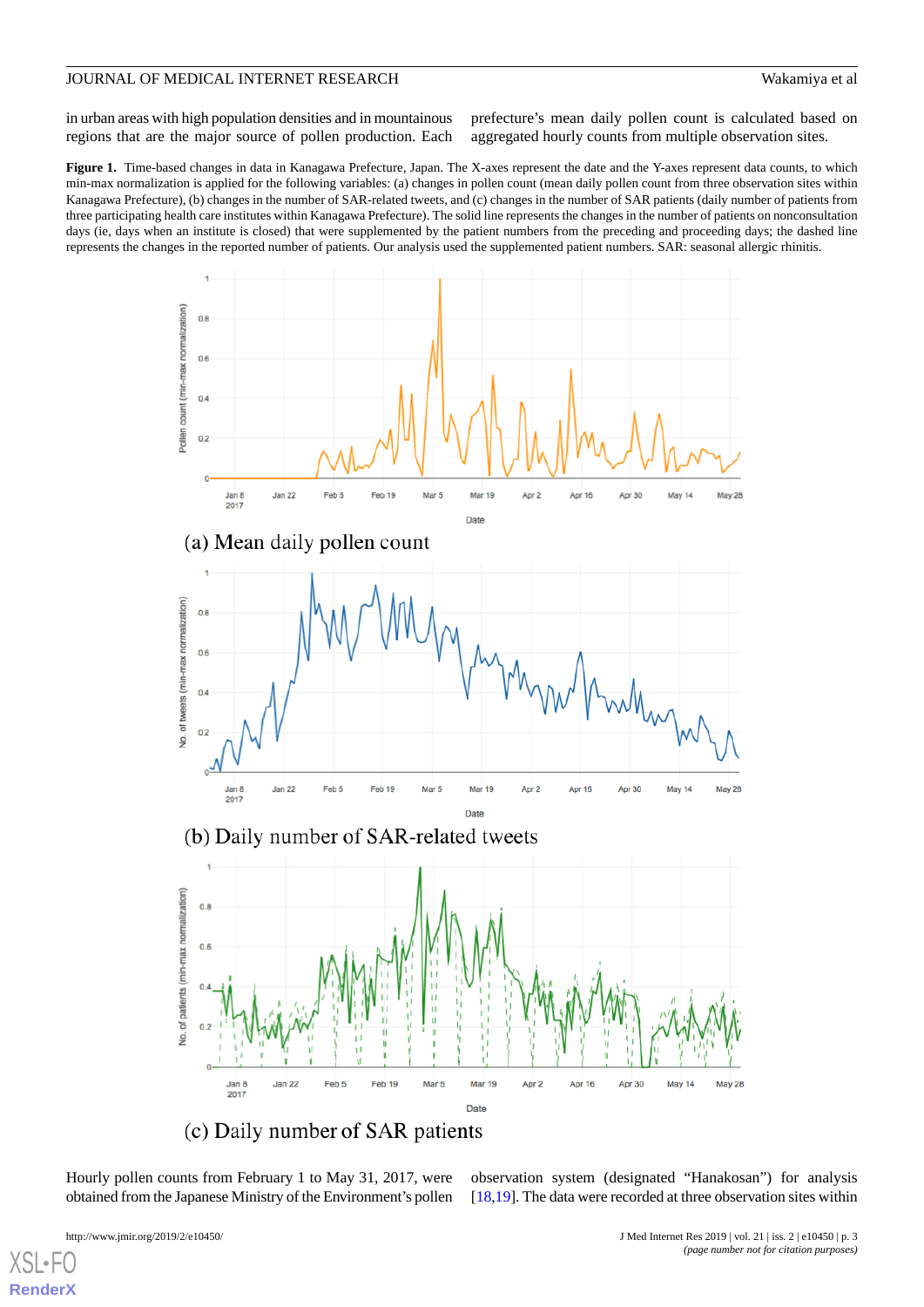in urban areas with high population densities and in mountainous regions that are the major source of pollen production. Each

prefecture's mean daily pollen count is calculated based on aggregated hourly counts from multiple observation sites.

<span id="page-2-0"></span>Figure 1. Time-based changes in data in Kanagawa Prefecture, Japan. The X-axes represent the date and the Y-axes represent data counts, to which min-max normalization is applied for the following variables: (a) changes in pollen count (mean daily pollen count from three observation sites within Kanagawa Prefecture), (b) changes in the number of SAR-related tweets, and (c) changes in the number of SAR patients (daily number of patients from three participating health care institutes within Kanagawa Prefecture). The solid line represents the changes in the number of patients on nonconsultation days (ie, days when an institute is closed) that were supplemented by the patient numbers from the preceding and proceeding days; the dashed line represents the changes in the reported number of patients. Our analysis used the supplemented patient numbers. SAR: seasonal allergic rhinitis.



(c) Daily number of SAR patients

Hourly pollen counts from February 1 to May 31, 2017, were obtained from the Japanese Ministry of the Environment's pollen

observation system (designated "Hanakosan") for analysis [[18](#page-10-1)[,19](#page-10-2)]. The data were recorded at three observation sites within

 $XSI -$ **[RenderX](http://www.renderx.com/)**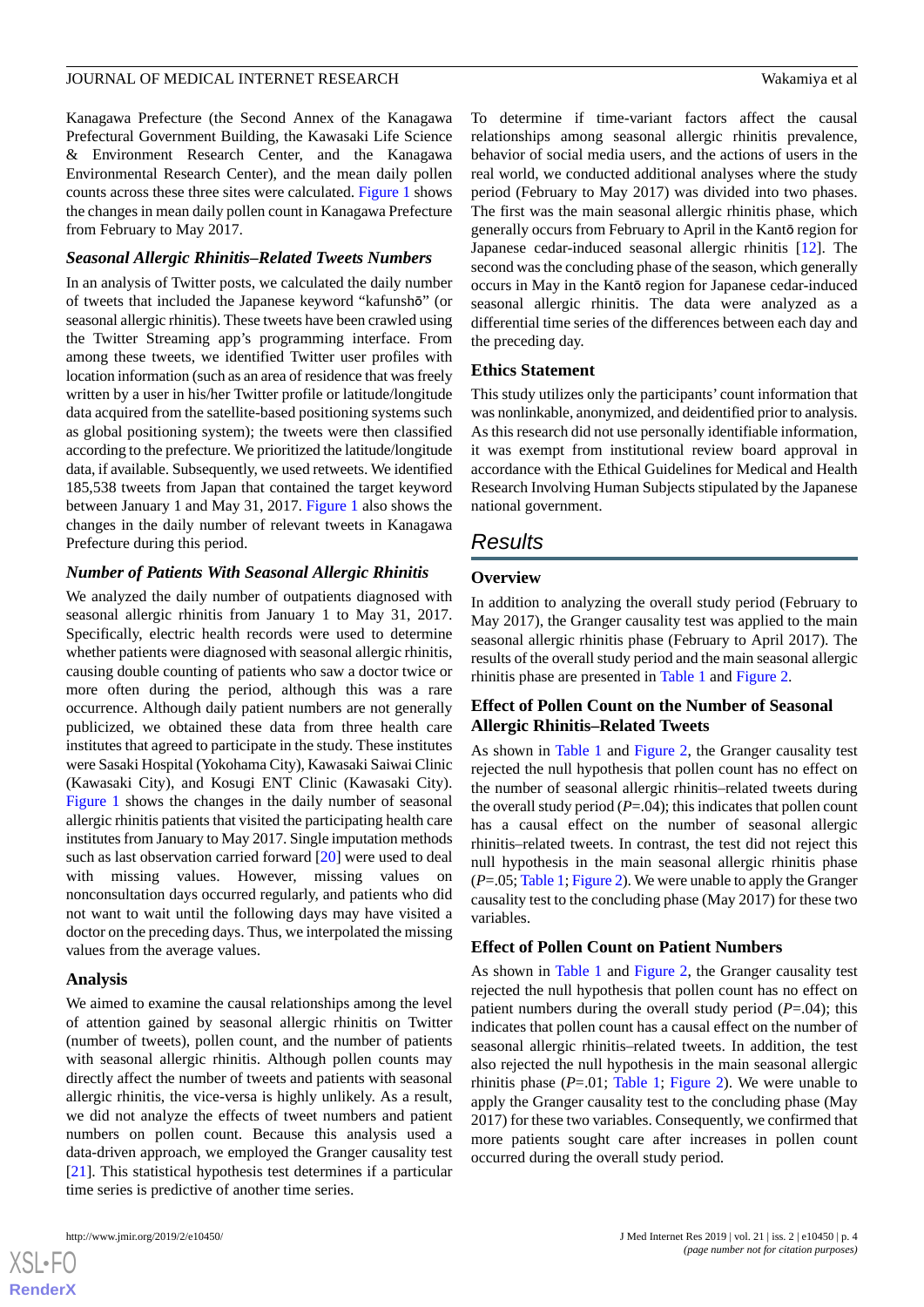Kanagawa Prefecture (the Second Annex of the Kanagawa Prefectural Government Building, the Kawasaki Life Science & Environment Research Center, and the Kanagawa Environmental Research Center), and the mean daily pollen counts across these three sites were calculated. [Figure 1](#page-2-0) shows the changes in mean daily pollen count in Kanagawa Prefecture from February to May 2017.

#### *Seasonal Allergic Rhinitis–Related Tweets Numbers*

In an analysis of Twitter posts, we calculated the daily number of tweets that included the Japanese keyword "kafunshō" (or seasonal allergic rhinitis). These tweets have been crawled using the Twitter Streaming app's programming interface. From among these tweets, we identified Twitter user profiles with location information (such as an area of residence that was freely written by a user in his/her Twitter profile or latitude/longitude data acquired from the satellite-based positioning systems such as global positioning system); the tweets were then classified according to the prefecture. We prioritized the latitude/longitude data, if available. Subsequently, we used retweets. We identified 185,538 tweets from Japan that contained the target keyword between January 1 and May 31, 2017. [Figure 1](#page-2-0) also shows the changes in the daily number of relevant tweets in Kanagawa Prefecture during this period.

#### *Number of Patients With Seasonal Allergic Rhinitis*

We analyzed the daily number of outpatients diagnosed with seasonal allergic rhinitis from January 1 to May 31, 2017. Specifically, electric health records were used to determine whether patients were diagnosed with seasonal allergic rhinitis, causing double counting of patients who saw a doctor twice or more often during the period, although this was a rare occurrence. Although daily patient numbers are not generally publicized, we obtained these data from three health care institutes that agreed to participate in the study. These institutes were Sasaki Hospital (Yokohama City), Kawasaki Saiwai Clinic (Kawasaki City), and Kosugi ENT Clinic (Kawasaki City). [Figure 1](#page-2-0) shows the changes in the daily number of seasonal allergic rhinitis patients that visited the participating health care institutes from January to May 2017. Single imputation methods such as last observation carried forward [\[20](#page-10-3)] were used to deal with missing values. However, missing values on nonconsultation days occurred regularly, and patients who did not want to wait until the following days may have visited a doctor on the preceding days. Thus, we interpolated the missing values from the average values.

#### **Analysis**

 $XS$ -FO **[RenderX](http://www.renderx.com/)**

We aimed to examine the causal relationships among the level of attention gained by seasonal allergic rhinitis on Twitter (number of tweets), pollen count, and the number of patients with seasonal allergic rhinitis. Although pollen counts may directly affect the number of tweets and patients with seasonal allergic rhinitis, the vice-versa is highly unlikely. As a result, we did not analyze the effects of tweet numbers and patient numbers on pollen count. Because this analysis used a data-driven approach, we employed the Granger causality test [[21\]](#page-10-4). This statistical hypothesis test determines if a particular time series is predictive of another time series.

To determine if time-variant factors affect the causal relationships among seasonal allergic rhinitis prevalence, behavior of social media users, and the actions of users in the real world, we conducted additional analyses where the study period (February to May 2017) was divided into two phases. The first was the main seasonal allergic rhinitis phase, which generally occurs from February to April in the Kantō region for Japanese cedar-induced seasonal allergic rhinitis [\[12](#page-9-10)]. The second was the concluding phase of the season, which generally occurs in May in the Kantō region for Japanese cedar-induced seasonal allergic rhinitis. The data were analyzed as a differential time series of the differences between each day and the preceding day.

#### **Ethics Statement**

This study utilizes only the participants' count information that was nonlinkable, anonymized, and deidentified prior to analysis. As this research did not use personally identifiable information, it was exempt from institutional review board approval in accordance with the Ethical Guidelines for Medical and Health Research Involving Human Subjects stipulated by the Japanese national government.

#### *Results*

#### **Overview**

In addition to analyzing the overall study period (February to May 2017), the Granger causality test was applied to the main seasonal allergic rhinitis phase (February to April 2017). The results of the overall study period and the main seasonal allergic rhinitis phase are presented in [Table 1](#page-4-0) and [Figure 2](#page-4-1).

#### **Effect of Pollen Count on the Number of Seasonal Allergic Rhinitis–Related Tweets**

As shown in [Table 1](#page-4-0) and [Figure 2](#page-4-1), the Granger causality test rejected the null hypothesis that pollen count has no effect on the number of seasonal allergic rhinitis–related tweets during the overall study period  $(P=.04)$ ; this indicates that pollen count has a causal effect on the number of seasonal allergic rhinitis–related tweets. In contrast, the test did not reject this null hypothesis in the main seasonal allergic rhinitis phase (*P*=.05; [Table 1;](#page-4-0) [Figure 2](#page-4-1)). We were unable to apply the Granger causality test to the concluding phase (May 2017) for these two variables.

#### **Effect of Pollen Count on Patient Numbers**

As shown in [Table 1](#page-4-0) and [Figure 2](#page-4-1), the Granger causality test rejected the null hypothesis that pollen count has no effect on patient numbers during the overall study period (*P*=.04); this indicates that pollen count has a causal effect on the number of seasonal allergic rhinitis–related tweets. In addition, the test also rejected the null hypothesis in the main seasonal allergic rhinitis phase  $(P=0.01;$  [Table 1;](#page-4-0) [Figure 2](#page-4-1)). We were unable to apply the Granger causality test to the concluding phase (May 2017) for these two variables. Consequently, we confirmed that more patients sought care after increases in pollen count occurred during the overall study period.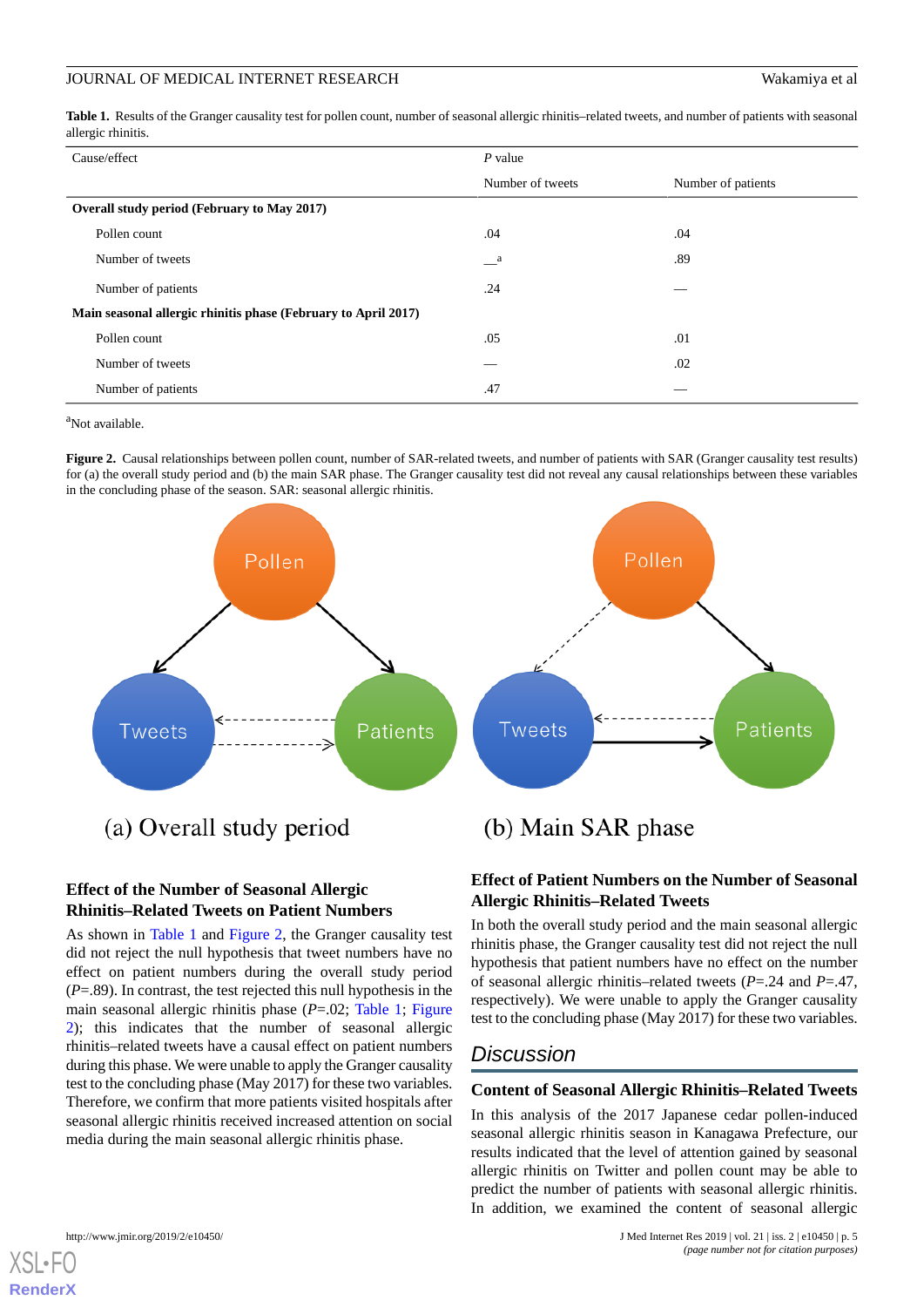<span id="page-4-0"></span>Table 1. Results of the Granger causality test for pollen count, number of seasonal allergic rhinitis–related tweets, and number of patients with seasonal allergic rhinitis.

| Cause/effect                                                   | $P$ value                |                    |
|----------------------------------------------------------------|--------------------------|--------------------|
|                                                                | Number of tweets         | Number of patients |
| Overall study period (February to May 2017)                    |                          |                    |
| Pollen count                                                   | .04                      | .04                |
| Number of tweets                                               | $\mathbf{a}$             | .89                |
| Number of patients                                             | .24                      |                    |
| Main seasonal allergic rhinitis phase (February to April 2017) |                          |                    |
| Pollen count                                                   | .05                      | .01                |
| Number of tweets                                               | $\overline{\phantom{a}}$ | .02                |
| Number of patients                                             | .47                      |                    |

<span id="page-4-1"></span><sup>a</sup>Not available.

**Figure 2.** Causal relationships between pollen count, number of SAR-related tweets, and number of patients with SAR (Granger causality test results) for (a) the overall study period and (b) the main SAR phase. The Granger causality test did not reveal any causal relationships between these variables in the concluding phase of the season. SAR: seasonal allergic rhinitis.



### **Effect of the Number of Seasonal Allergic Rhinitis–Related Tweets on Patient Numbers**

As shown in [Table 1](#page-4-0) and [Figure 2](#page-4-1), the Granger causality test did not reject the null hypothesis that tweet numbers have no effect on patient numbers during the overall study period (*P*=.89). In contrast, the test rejected this null hypothesis in the main seasonal allergic rhinitis phase (*P*=.02; [Table 1](#page-4-0); [Figure](#page-4-1) [2\)](#page-4-1); this indicates that the number of seasonal allergic rhinitis–related tweets have a causal effect on patient numbers during this phase. We were unable to apply the Granger causality test to the concluding phase (May 2017) for these two variables. Therefore, we confirm that more patients visited hospitals after seasonal allergic rhinitis received increased attention on social media during the main seasonal allergic rhinitis phase.

## **Effect of Patient Numbers on the Number of Seasonal Allergic Rhinitis–Related Tweets**

In both the overall study period and the main seasonal allergic rhinitis phase, the Granger causality test did not reject the null hypothesis that patient numbers have no effect on the number of seasonal allergic rhinitis–related tweets (*P*=.24 and *P*=.47, respectively). We were unable to apply the Granger causality test to the concluding phase (May 2017) for these two variables.

## *Discussion*

#### **Content of Seasonal Allergic Rhinitis–Related Tweets**

In this analysis of the 2017 Japanese cedar pollen-induced seasonal allergic rhinitis season in Kanagawa Prefecture, our results indicated that the level of attention gained by seasonal allergic rhinitis on Twitter and pollen count may be able to predict the number of patients with seasonal allergic rhinitis. In addition, we examined the content of seasonal allergic

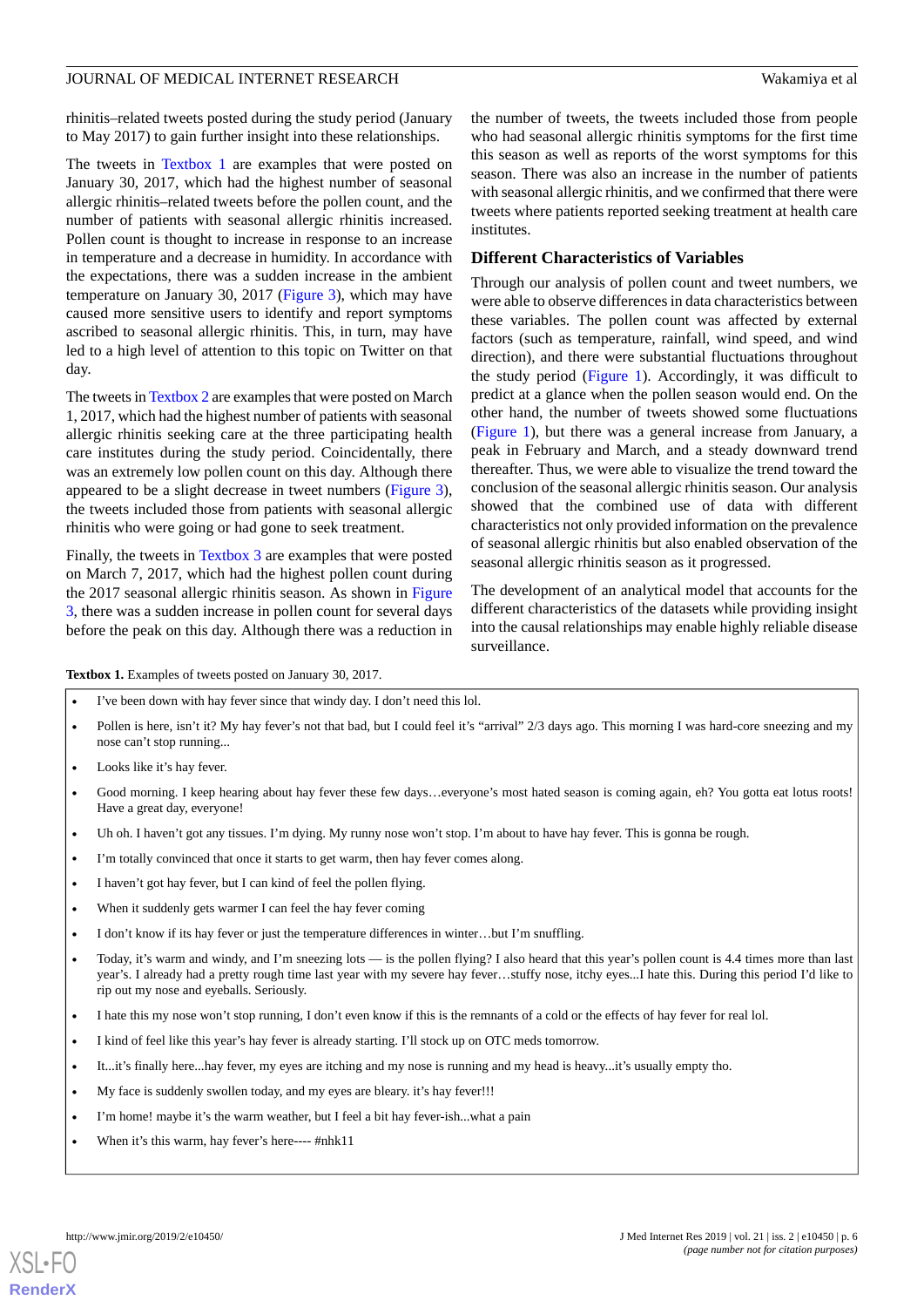rhinitis–related tweets posted during the study period (January to May 2017) to gain further insight into these relationships.

The tweets in [Textbox 1](#page-5-0) are examples that were posted on January 30, 2017, which had the highest number of seasonal allergic rhinitis–related tweets before the pollen count, and the number of patients with seasonal allergic rhinitis increased. Pollen count is thought to increase in response to an increase in temperature and a decrease in humidity. In accordance with the expectations, there was a sudden increase in the ambient temperature on January 30, 2017 [\(Figure 3](#page-6-0)), which may have caused more sensitive users to identify and report symptoms ascribed to seasonal allergic rhinitis. This, in turn, may have led to a high level of attention to this topic on Twitter on that day.

The tweets in [Textbox 2](#page-7-0) are examples that were posted on March 1, 2017, which had the highest number of patients with seasonal allergic rhinitis seeking care at the three participating health care institutes during the study period. Coincidentally, there was an extremely low pollen count on this day. Although there appeared to be a slight decrease in tweet numbers ([Figure 3\)](#page-6-0), the tweets included those from patients with seasonal allergic rhinitis who were going or had gone to seek treatment.

<span id="page-5-0"></span>Finally, the tweets in [Textbox 3](#page-7-1) are examples that were posted on March 7, 2017, which had the highest pollen count during the 2017 seasonal allergic rhinitis season. As shown in [Figure](#page-6-0) [3,](#page-6-0) there was a sudden increase in pollen count for several days before the peak on this day. Although there was a reduction in

the number of tweets, the tweets included those from people who had seasonal allergic rhinitis symptoms for the first time this season as well as reports of the worst symptoms for this season. There was also an increase in the number of patients with seasonal allergic rhinitis, and we confirmed that there were tweets where patients reported seeking treatment at health care institutes.

#### **Different Characteristics of Variables**

Through our analysis of pollen count and tweet numbers, we were able to observe differences in data characteristics between these variables. The pollen count was affected by external factors (such as temperature, rainfall, wind speed, and wind direction), and there were substantial fluctuations throughout the study period ([Figure 1\)](#page-2-0). Accordingly, it was difficult to predict at a glance when the pollen season would end. On the other hand, the number of tweets showed some fluctuations ([Figure 1\)](#page-2-0), but there was a general increase from January, a peak in February and March, and a steady downward trend thereafter. Thus, we were able to visualize the trend toward the conclusion of the seasonal allergic rhinitis season. Our analysis showed that the combined use of data with different characteristics not only provided information on the prevalence of seasonal allergic rhinitis but also enabled observation of the seasonal allergic rhinitis season as it progressed.

The development of an analytical model that accounts for the different characteristics of the datasets while providing insight into the causal relationships may enable highly reliable disease surveillance.

**Textbox 1.** Examples of tweets posted on January 30, 2017.

I've been down with hay fever since that windy day. I don't need this lol.

- Pollen is here, isn't it? My hay fever's not that bad, but I could feel it's "arrival" 2/3 days ago. This morning I was hard-core sneezing and my nose can't stop running...
- Looks like it's hay fever.
- Good morning. I keep hearing about hay fever these few days...everyone's most hated season is coming again, eh? You gotta eat lotus roots! Have a great day, everyone!
- Uh oh. I haven't got any tissues. I'm dying. My runny nose won't stop. I'm about to have hay fever. This is gonna be rough.
- I'm totally convinced that once it starts to get warm, then hay fever comes along.
- I haven't got hay fever, but I can kind of feel the pollen flying.
- When it suddenly gets warmer I can feel the hay fever coming
- I don't know if its hay fever or just the temperature differences in winter...but I'm snuffling.
- Today, it's warm and windy, and I'm sneezing lots is the pollen flying? I also heard that this year's pollen count is 4.4 times more than last year's. I already had a pretty rough time last year with my severe hay fever…stuffy nose, itchy eyes...I hate this. During this period I'd like to rip out my nose and eyeballs. Seriously.
- I hate this my nose won't stop running, I don't even know if this is the remnants of a cold or the effects of hay fever for real lol.
- I kind of feel like this year's hay fever is already starting. I'll stock up on OTC meds tomorrow.
- It...it's finally here...hay fever, my eyes are itching and my nose is running and my head is heavy...it's usually empty tho.
- My face is suddenly swollen today, and my eyes are bleary. it's hay fever!!!
- I'm home! maybe it's the warm weather, but I feel a bit hay fever-ish...what a pain
- When it's this warm, hay fever's here---- #nhk11

**[RenderX](http://www.renderx.com/)**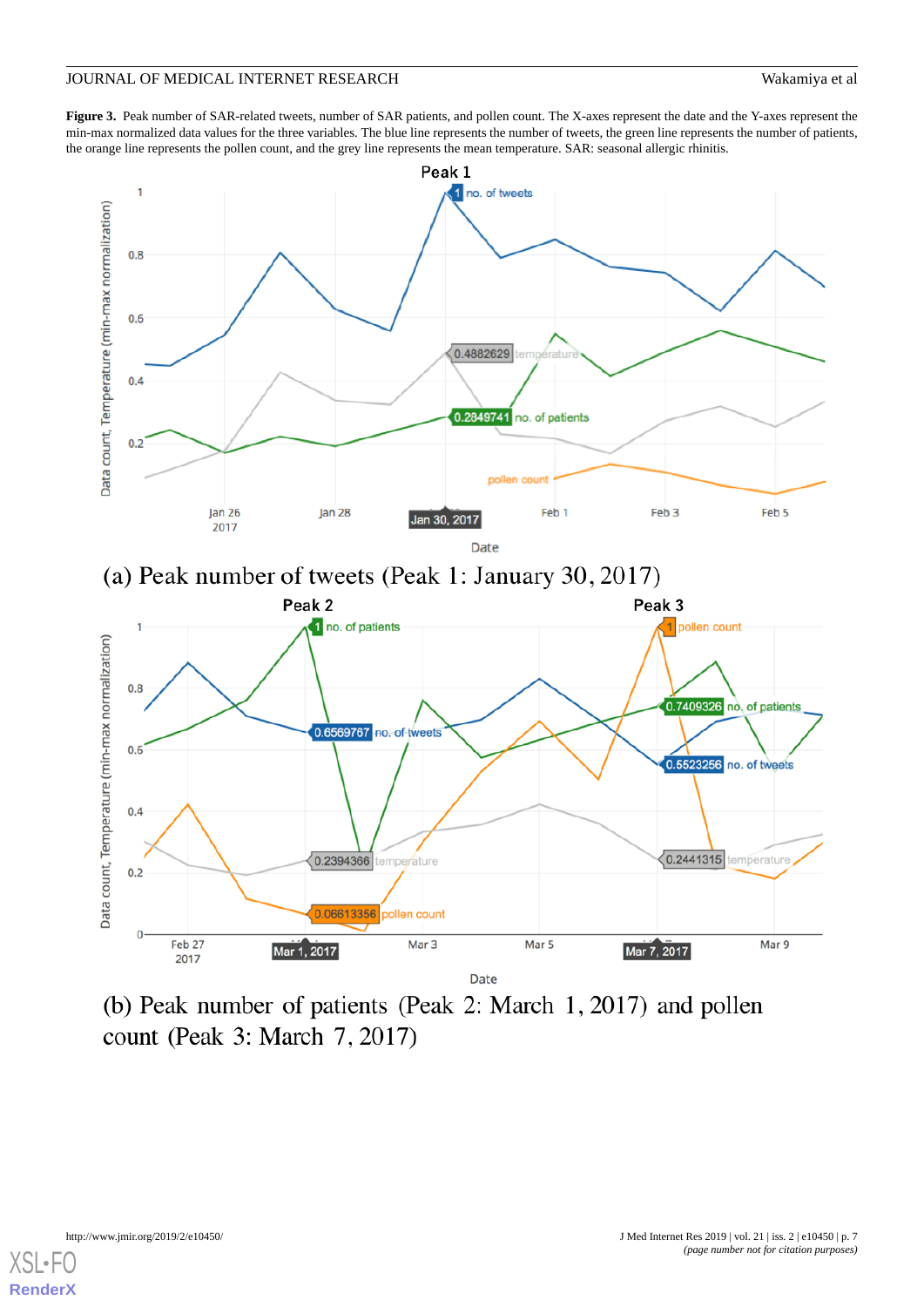<span id="page-6-0"></span>Figure 3. Peak number of SAR-related tweets, number of SAR patients, and pollen count. The X-axes represent the date and the Y-axes represent the min-max normalized data values for the three variables. The blue line represents the number of tweets, the green line represents the number of patients, the orange line represents the pollen count, and the grey line represents the mean temperature. SAR: seasonal allergic rhinitis.



(b) Peak number of patients (Peak 2: March 1, 2017) and pollen count (Peak 3: March 7, 2017)

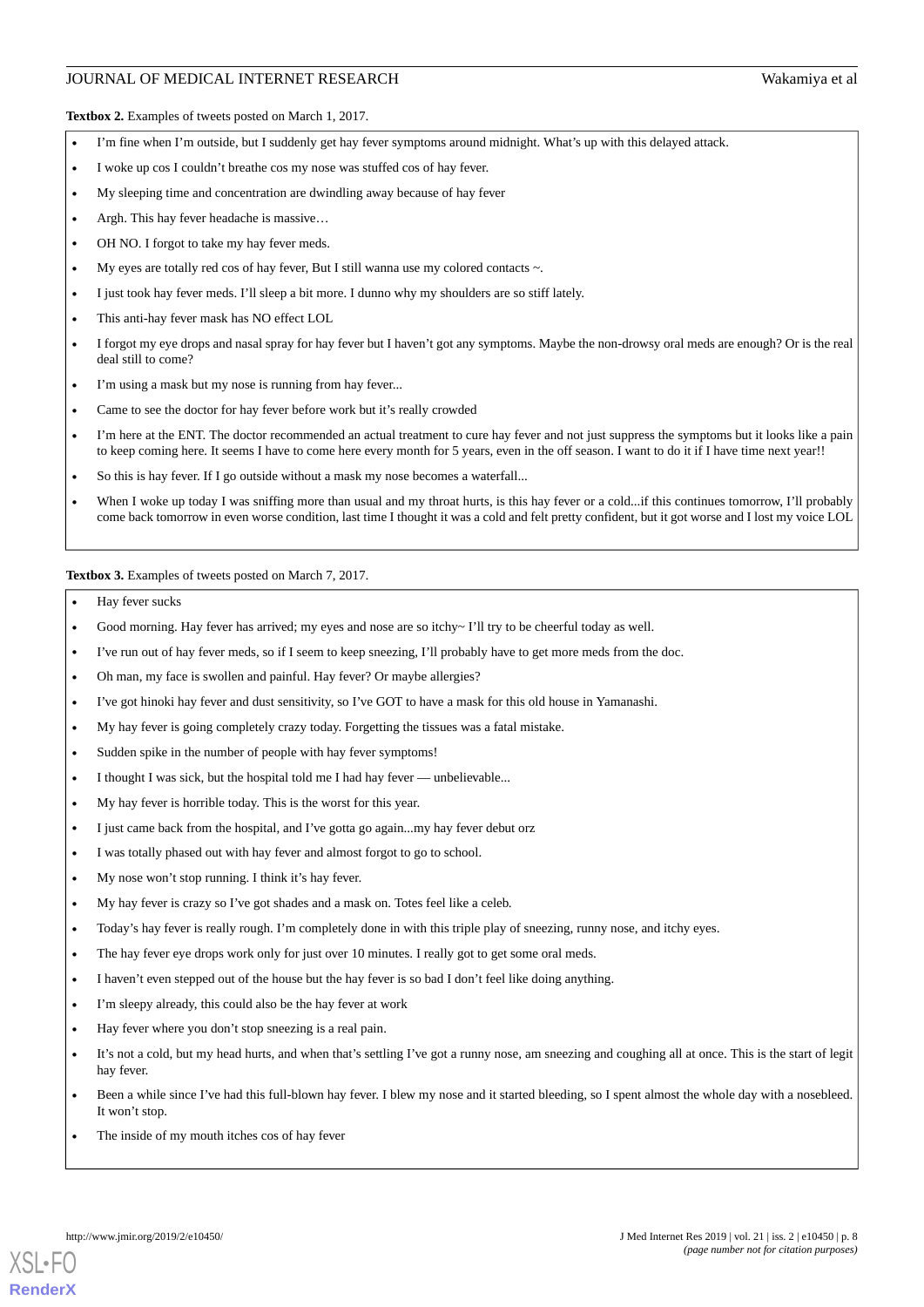<span id="page-7-0"></span>**Textbox 2.** Examples of tweets posted on March 1, 2017.

- I'm fine when I'm outside, but I suddenly get hay fever symptoms around midnight. What's up with this delayed attack.
- I woke up cos I couldn't breathe cos my nose was stuffed cos of hay fever.
- My sleeping time and concentration are dwindling away because of hay fever
- Argh. This hay fever headache is massive...
- OH NO. I forgot to take my hay fever meds.
- My eyes are totally red cos of hay fever, But I still wanna use my colored contacts  $\sim$ .
- I just took hay fever meds. I'll sleep a bit more. I dunno why my shoulders are so stiff lately.
- This anti-hay fever mask has NO effect LOL
- I forgot my eye drops and nasal spray for hay fever but I haven't got any symptoms. Maybe the non-drowsy oral meds are enough? Or is the real deal still to come?
- I'm using a mask but my nose is running from hay fever...
- Came to see the doctor for hay fever before work but it's really crowded
- I'm here at the ENT. The doctor recommended an actual treatment to cure hay fever and not just suppress the symptoms but it looks like a pain to keep coming here. It seems I have to come here every month for 5 years, even in the off season. I want to do it if I have time next year!!
- So this is hay fever. If I go outside without a mask my nose becomes a waterfall...
- <span id="page-7-1"></span>When I woke up today I was sniffing more than usual and my throat hurts, is this hay fever or a cold...if this continues tomorrow, I'll probably come back tomorrow in even worse condition, last time I thought it was a cold and felt pretty confident, but it got worse and I lost my voice LOL

**Textbox 3.** Examples of tweets posted on March 7, 2017.

- Hay fever sucks
- Good morning. Hay fever has arrived; my eyes and nose are so itchy~ I'll try to be cheerful today as well.
- I've run out of hay fever meds, so if I seem to keep sneezing, I'll probably have to get more meds from the doc.
- Oh man, my face is swollen and painful. Hay fever? Or maybe allergies?
- I've got hinoki hay fever and dust sensitivity, so I've GOT to have a mask for this old house in Yamanashi.
- My hay fever is going completely crazy today. Forgetting the tissues was a fatal mistake.
- Sudden spike in the number of people with hay fever symptoms!
- I thought I was sick, but the hospital told me I had hay fever unbelievable...
- My hay fever is horrible today. This is the worst for this year.
- I just came back from the hospital, and I've gotta go again...my hay fever debut orz
- I was totally phased out with hay fever and almost forgot to go to school.
- My nose won't stop running. I think it's hay fever.
- My hay fever is crazy so I've got shades and a mask on. Totes feel like a celeb.
- Today's hay fever is really rough. I'm completely done in with this triple play of sneezing, runny nose, and itchy eyes.
- The hay fever eye drops work only for just over 10 minutes. I really got to get some oral meds.
- I haven't even stepped out of the house but the hay fever is so bad I don't feel like doing anything.
- I'm sleepy already, this could also be the hay fever at work
- Hay fever where you don't stop sneezing is a real pain.
- It's not a cold, but my head hurts, and when that's settling I've got a runny nose, am sneezing and coughing all at once. This is the start of legit hay fever.
- Been a while since I've had this full-blown hay fever. I blew my nose and it started bleeding, so I spent almost the whole day with a nosebleed. It won't stop.
- The inside of my mouth itches cos of hay fever

**[RenderX](http://www.renderx.com/)**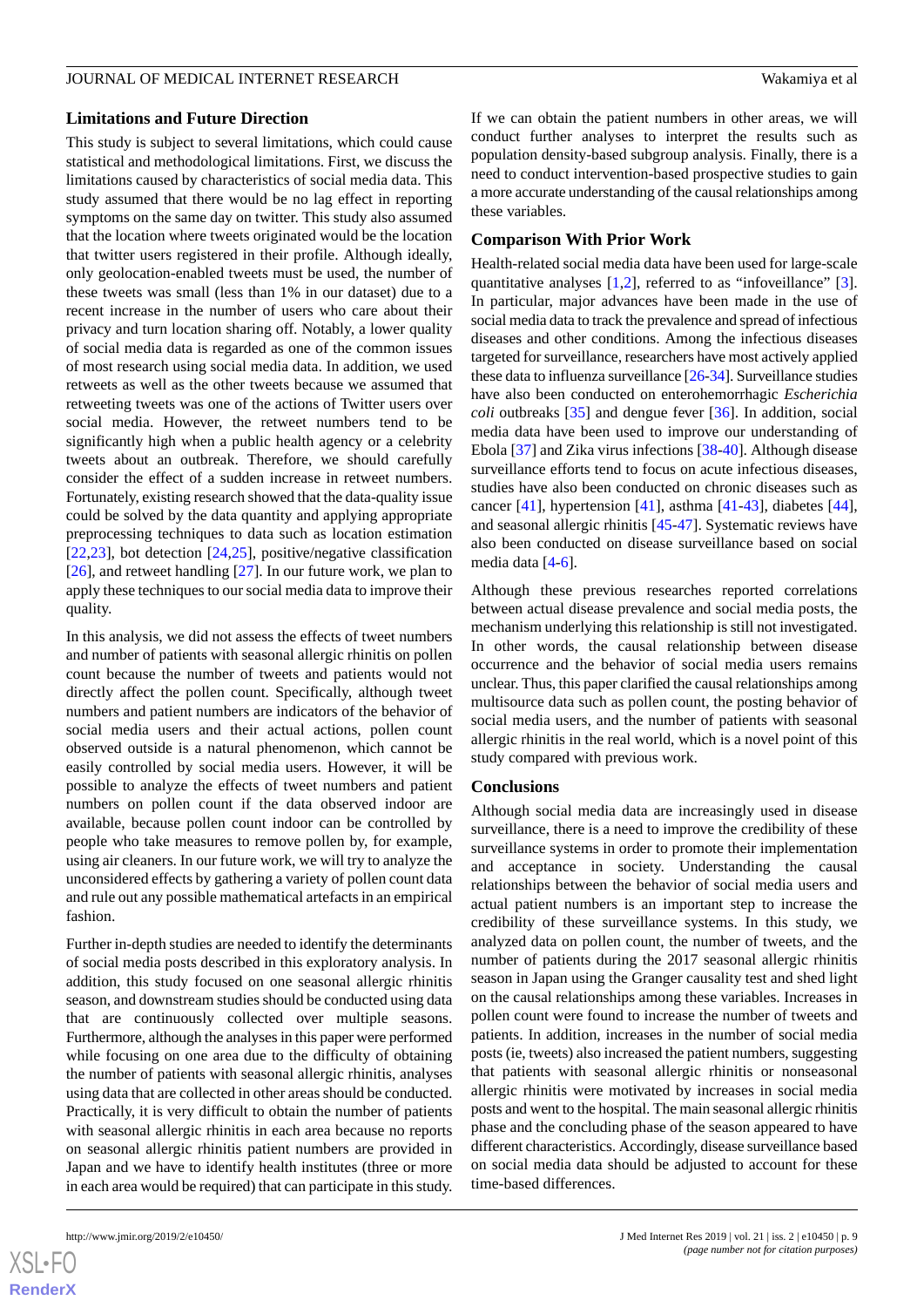#### **Limitations and Future Direction**

This study is subject to several limitations, which could cause statistical and methodological limitations. First, we discuss the limitations caused by characteristics of social media data. This study assumed that there would be no lag effect in reporting symptoms on the same day on twitter. This study also assumed that the location where tweets originated would be the location that twitter users registered in their profile. Although ideally, only geolocation-enabled tweets must be used, the number of these tweets was small (less than 1% in our dataset) due to a recent increase in the number of users who care about their privacy and turn location sharing off. Notably, a lower quality of social media data is regarded as one of the common issues of most research using social media data. In addition, we used retweets as well as the other tweets because we assumed that retweeting tweets was one of the actions of Twitter users over social media. However, the retweet numbers tend to be significantly high when a public health agency or a celebrity tweets about an outbreak. Therefore, we should carefully consider the effect of a sudden increase in retweet numbers. Fortunately, existing research showed that the data-quality issue could be solved by the data quantity and applying appropriate preprocessing techniques to data such as location estimation [[22](#page-10-5)[,23](#page-10-6)], bot detection [[24](#page-10-7)[,25](#page-10-8)], positive/negative classification [[26\]](#page-10-9), and retweet handling [[27\]](#page-10-10). In our future work, we plan to apply these techniques to our social media data to improve their quality.

In this analysis, we did not assess the effects of tweet numbers and number of patients with seasonal allergic rhinitis on pollen count because the number of tweets and patients would not directly affect the pollen count. Specifically, although tweet numbers and patient numbers are indicators of the behavior of social media users and their actual actions, pollen count observed outside is a natural phenomenon, which cannot be easily controlled by social media users. However, it will be possible to analyze the effects of tweet numbers and patient numbers on pollen count if the data observed indoor are available, because pollen count indoor can be controlled by people who take measures to remove pollen by, for example, using air cleaners. In our future work, we will try to analyze the unconsidered effects by gathering a variety of pollen count data and rule out any possible mathematical artefacts in an empirical fashion.

Further in-depth studies are needed to identify the determinants of social media posts described in this exploratory analysis. In addition, this study focused on one seasonal allergic rhinitis season, and downstream studies should be conducted using data that are continuously collected over multiple seasons. Furthermore, although the analyses in this paper were performed while focusing on one area due to the difficulty of obtaining the number of patients with seasonal allergic rhinitis, analyses using data that are collected in other areas should be conducted. Practically, it is very difficult to obtain the number of patients with seasonal allergic rhinitis in each area because no reports on seasonal allergic rhinitis patient numbers are provided in Japan and we have to identify health institutes (three or more in each area would be required) that can participate in this study.

 $XS$ -FO **[RenderX](http://www.renderx.com/)** If we can obtain the patient numbers in other areas, we will conduct further analyses to interpret the results such as population density-based subgroup analysis. Finally, there is a need to conduct intervention-based prospective studies to gain a more accurate understanding of the causal relationships among these variables.

#### **Comparison With Prior Work**

Health-related social media data have been used for large-scale quantitative analyses [\[1,](#page-9-0)[2](#page-9-1)], referred to as "infoveillance" [[3\]](#page-9-2). In particular, major advances have been made in the use of social media data to track the prevalence and spread of infectious diseases and other conditions. Among the infectious diseases targeted for surveillance, researchers have most actively applied these data to influenza surveillance [\[26](#page-10-9)[-34](#page-10-11)]. Surveillance studies have also been conducted on enterohemorrhagic *Escherichia coli* outbreaks [\[35](#page-10-12)] and dengue fever [\[36](#page-10-13)]. In addition, social media data have been used to improve our understanding of Ebola [\[37](#page-11-0)] and Zika virus infections [\[38](#page-11-1)-[40\]](#page-11-2). Although disease surveillance efforts tend to focus on acute infectious diseases, studies have also been conducted on chronic diseases such as cancer [[41\]](#page-11-3), hypertension [\[41](#page-11-3)], asthma [[41](#page-11-3)[-43](#page-11-4)], diabetes [[44\]](#page-11-5), and seasonal allergic rhinitis [\[45](#page-11-6)-[47\]](#page-11-7). Systematic reviews have also been conducted on disease surveillance based on social media data [\[4](#page-9-3)[-6](#page-9-4)].

Although these previous researches reported correlations between actual disease prevalence and social media posts, the mechanism underlying this relationship is still not investigated. In other words, the causal relationship between disease occurrence and the behavior of social media users remains unclear. Thus, this paper clarified the causal relationships among multisource data such as pollen count, the posting behavior of social media users, and the number of patients with seasonal allergic rhinitis in the real world, which is a novel point of this study compared with previous work.

#### **Conclusions**

Although social media data are increasingly used in disease surveillance, there is a need to improve the credibility of these surveillance systems in order to promote their implementation and acceptance in society. Understanding the causal relationships between the behavior of social media users and actual patient numbers is an important step to increase the credibility of these surveillance systems. In this study, we analyzed data on pollen count, the number of tweets, and the number of patients during the 2017 seasonal allergic rhinitis season in Japan using the Granger causality test and shed light on the causal relationships among these variables. Increases in pollen count were found to increase the number of tweets and patients. In addition, increases in the number of social media posts (ie, tweets) also increased the patient numbers, suggesting that patients with seasonal allergic rhinitis or nonseasonal allergic rhinitis were motivated by increases in social media posts and went to the hospital. The main seasonal allergic rhinitis phase and the concluding phase of the season appeared to have different characteristics. Accordingly, disease surveillance based on social media data should be adjusted to account for these time-based differences.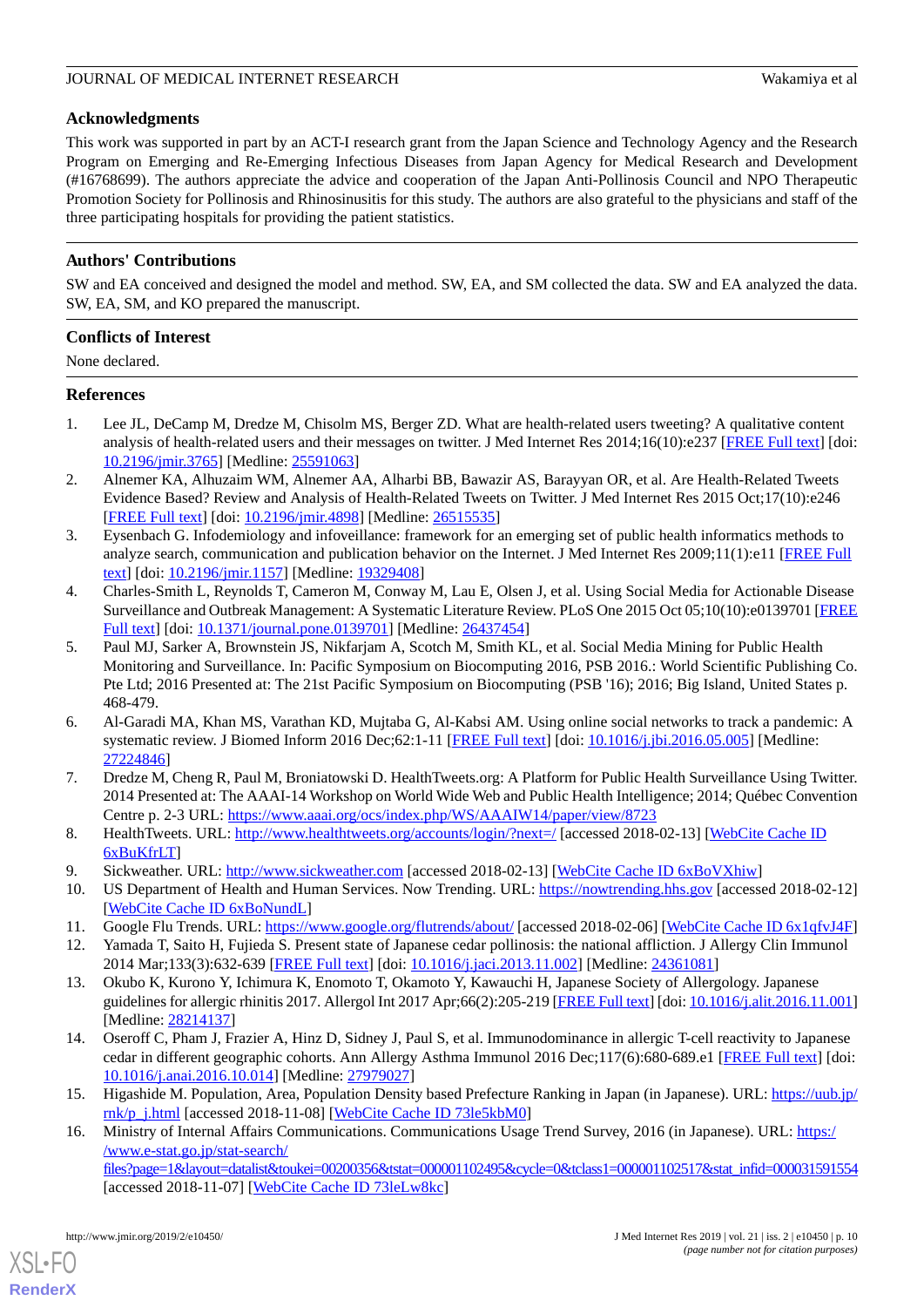#### **Acknowledgments**

This work was supported in part by an ACT-I research grant from the Japan Science and Technology Agency and the Research Program on Emerging and Re-Emerging Infectious Diseases from Japan Agency for Medical Research and Development (#16768699). The authors appreciate the advice and cooperation of the Japan Anti-Pollinosis Council and NPO Therapeutic Promotion Society for Pollinosis and Rhinosinusitis for this study. The authors are also grateful to the physicians and staff of the three participating hospitals for providing the patient statistics.

#### **Authors' Contributions**

SW and EA conceived and designed the model and method. SW, EA, and SM collected the data. SW and EA analyzed the data. SW, EA, SM, and KO prepared the manuscript.

#### **Conflicts of Interest**

None declared.

#### <span id="page-9-0"></span>**References**

- <span id="page-9-1"></span>1. Lee JL, DeCamp M, Dredze M, Chisolm MS, Berger ZD. What are health-related users tweeting? A qualitative content analysis of health-related users and their messages on twitter. J Med Internet Res  $2014;16(10):e237$  [[FREE Full text](http://www.jmir.org/2014/10/e237/)] [doi: [10.2196/jmir.3765](http://dx.doi.org/10.2196/jmir.3765)] [Medline: [25591063](http://www.ncbi.nlm.nih.gov/entrez/query.fcgi?cmd=Retrieve&db=PubMed&list_uids=25591063&dopt=Abstract)]
- <span id="page-9-2"></span>2. Alnemer KA, Alhuzaim WM, Alnemer AA, Alharbi BB, Bawazir AS, Barayyan OR, et al. Are Health-Related Tweets Evidence Based? Review and Analysis of Health-Related Tweets on Twitter. J Med Internet Res 2015 Oct;17(10):e246 [[FREE Full text](http://www.jmir.org/2015/10/e246/)] [doi: [10.2196/jmir.4898](http://dx.doi.org/10.2196/jmir.4898)] [Medline: [26515535](http://www.ncbi.nlm.nih.gov/entrez/query.fcgi?cmd=Retrieve&db=PubMed&list_uids=26515535&dopt=Abstract)]
- <span id="page-9-3"></span>3. Eysenbach G. Infodemiology and infoveillance: framework for an emerging set of public health informatics methods to analyze search, communication and publication behavior on the Internet. J Med Internet Res 2009;11(1):e11 [[FREE Full](http://www.jmir.org/2009/1/e11/) [text](http://www.jmir.org/2009/1/e11/)] [doi: [10.2196/jmir.1157](http://dx.doi.org/10.2196/jmir.1157)] [Medline: [19329408](http://www.ncbi.nlm.nih.gov/entrez/query.fcgi?cmd=Retrieve&db=PubMed&list_uids=19329408&dopt=Abstract)]
- 4. Charles-Smith L, Reynolds T, Cameron M, Conway M, Lau E, Olsen J, et al. Using Social Media for Actionable Disease Surveillance and Outbreak Management: A Systematic Literature Review. PLoS One 2015 Oct 05;10(10):e0139701 [\[FREE](http://dx.plos.org/10.1371/journal.pone.0139701) [Full text\]](http://dx.plos.org/10.1371/journal.pone.0139701) [doi: [10.1371/journal.pone.0139701](http://dx.doi.org/10.1371/journal.pone.0139701)] [Medline: [26437454](http://www.ncbi.nlm.nih.gov/entrez/query.fcgi?cmd=Retrieve&db=PubMed&list_uids=26437454&dopt=Abstract)]
- <span id="page-9-4"></span>5. Paul MJ, Sarker A, Brownstein JS, Nikfarjam A, Scotch M, Smith KL, et al. Social Media Mining for Public Health Monitoring and Surveillance. In: Pacific Symposium on Biocomputing 2016, PSB 2016.: World Scientific Publishing Co. Pte Ltd; 2016 Presented at: The 21st Pacific Symposium on Biocomputing (PSB '16); 2016; Big Island, United States p. 468-479.
- <span id="page-9-5"></span>6. Al-Garadi MA, Khan MS, Varathan KD, Mujtaba G, Al-Kabsi AM. Using online social networks to track a pandemic: A systematic review. J Biomed Inform 2016 Dec;62:1-11 [[FREE Full text\]](https://linkinghub.elsevier.com/retrieve/pii/S1532-0464(16)30035-1) [doi: [10.1016/j.jbi.2016.05.005\]](http://dx.doi.org/10.1016/j.jbi.2016.05.005) [Medline: [27224846](http://www.ncbi.nlm.nih.gov/entrez/query.fcgi?cmd=Retrieve&db=PubMed&list_uids=27224846&dopt=Abstract)]
- <span id="page-9-8"></span><span id="page-9-7"></span><span id="page-9-6"></span>7. Dredze M, Cheng R, Paul M, Broniatowski D. HealthTweets.org: A Platform for Public Health Surveillance Using Twitter. 2014 Presented at: The AAAI-14 Workshop on World Wide Web and Public Health Intelligence; 2014; Québec Convention Centre p. 2-3 URL: <https://www.aaai.org/ocs/index.php/WS/AAAIW14/paper/view/8723>
- <span id="page-9-10"></span><span id="page-9-9"></span>8. HealthTweets. URL: <http://www.healthtweets.org/accounts/login/?next=/> [accessed 2018-02-13] [[WebCite Cache ID](http://www.webcitation.org/

                                            6xBuKfrLT) [6xBuKfrLT](http://www.webcitation.org/

                                            6xBuKfrLT)]
- 9. Sickweather. URL: <http://www.sickweather.com> [accessed 2018-02-13] [\[WebCite Cache ID 6xBoVXhiw](http://www.webcitation.org/

                             6xBoVXhiw)]
- 10. US Department of Health and Human Services. Now Trending. URL: <https://nowtrending.hhs.gov> [accessed 2018-02-12] [[WebCite Cache ID 6xBoNundL\]](http://www.webcitation.org/

                                            6xBoNundL)
- 11. Google Flu Trends. URL:<https://www.google.org/flutrends/about/> [accessed 2018-02-06] [[WebCite Cache ID 6x1qfvJ4F](http://www.webcitation.org/

                             6x1qfvJ4F)]
- <span id="page-9-11"></span>12. Yamada T, Saito H, Fujieda S. Present state of Japanese cedar pollinosis: the national affliction. J Allergy Clin Immunol 2014 Mar;133(3):632-639 [\[FREE Full text\]](https://linkinghub.elsevier.com/retrieve/pii/S0091674913017119) [doi: [10.1016/j.jaci.2013.11.002](http://dx.doi.org/10.1016/j.jaci.2013.11.002)] [Medline: [24361081\]](http://www.ncbi.nlm.nih.gov/entrez/query.fcgi?cmd=Retrieve&db=PubMed&list_uids=24361081&dopt=Abstract)
- <span id="page-9-12"></span>13. Okubo K, Kurono Y, Ichimura K, Enomoto T, Okamoto Y, Kawauchi H, Japanese Society of Allergology. Japanese guidelines for allergic rhinitis 2017. Allergol Int 2017 Apr;66(2):205-219 [\[FREE Full text](https://linkinghub.elsevier.com/retrieve/pii/S1323-8930(16)30165-4)] [doi: [10.1016/j.alit.2016.11.001\]](http://dx.doi.org/10.1016/j.alit.2016.11.001) [Medline: [28214137](http://www.ncbi.nlm.nih.gov/entrez/query.fcgi?cmd=Retrieve&db=PubMed&list_uids=28214137&dopt=Abstract)]
- <span id="page-9-13"></span>14. Oseroff C, Pham J, Frazier A, Hinz D, Sidney J, Paul S, et al. Immunodominance in allergic T-cell reactivity to Japanese cedar in different geographic cohorts. Ann Allergy Asthma Immunol 2016 Dec;117(6):680-689.e1 [\[FREE Full text\]](http://europepmc.org/abstract/MED/27979027) [doi: [10.1016/j.anai.2016.10.014](http://dx.doi.org/10.1016/j.anai.2016.10.014)] [Medline: [27979027](http://www.ncbi.nlm.nih.gov/entrez/query.fcgi?cmd=Retrieve&db=PubMed&list_uids=27979027&dopt=Abstract)]
- 15. Higashide M. Population, Area, Population Density based Prefecture Ranking in Japan (in Japanese). URL: [https://uub.jp/](https://uub.jp/rnk/p_j.html) [rnk/p\\_j.html](https://uub.jp/rnk/p_j.html) [accessed 2018-11-08] [\[WebCite Cache ID 73le5kbM0](http://www.webcitation.org/

                                            73le5kbM0)]
- 16. Ministry of Internal Affairs Communications. Communications Usage Trend Survey, 2016 (in Japanese). URL: [https:/](https://www.e-stat.go.jp/stat-search/files?page=1&layout=datalist&toukei=00200356&tstat=000001102495&cycle=0&tclass1=000001102517&stat_infid=000031591554) [/www.e-stat.go.jp/stat-search/](https://www.e-stat.go.jp/stat-search/files?page=1&layout=datalist&toukei=00200356&tstat=000001102495&cycle=0&tclass1=000001102517&stat_infid=000031591554)

[files?page=1&layout=datalist&toukei=00200356&tstat=000001102495&cycle=0&tclass1=000001102517&stat\\_infid=000031591554](https://www.e-stat.go.jp/stat-search/files?page=1&layout=datalist&toukei=00200356&tstat=000001102495&cycle=0&tclass1=000001102517&stat_infid=000031591554) [accessed 2018-11-07] [\[WebCite Cache ID 73leLw8kc\]](http://www.webcitation.org/

                                            73leLw8kc)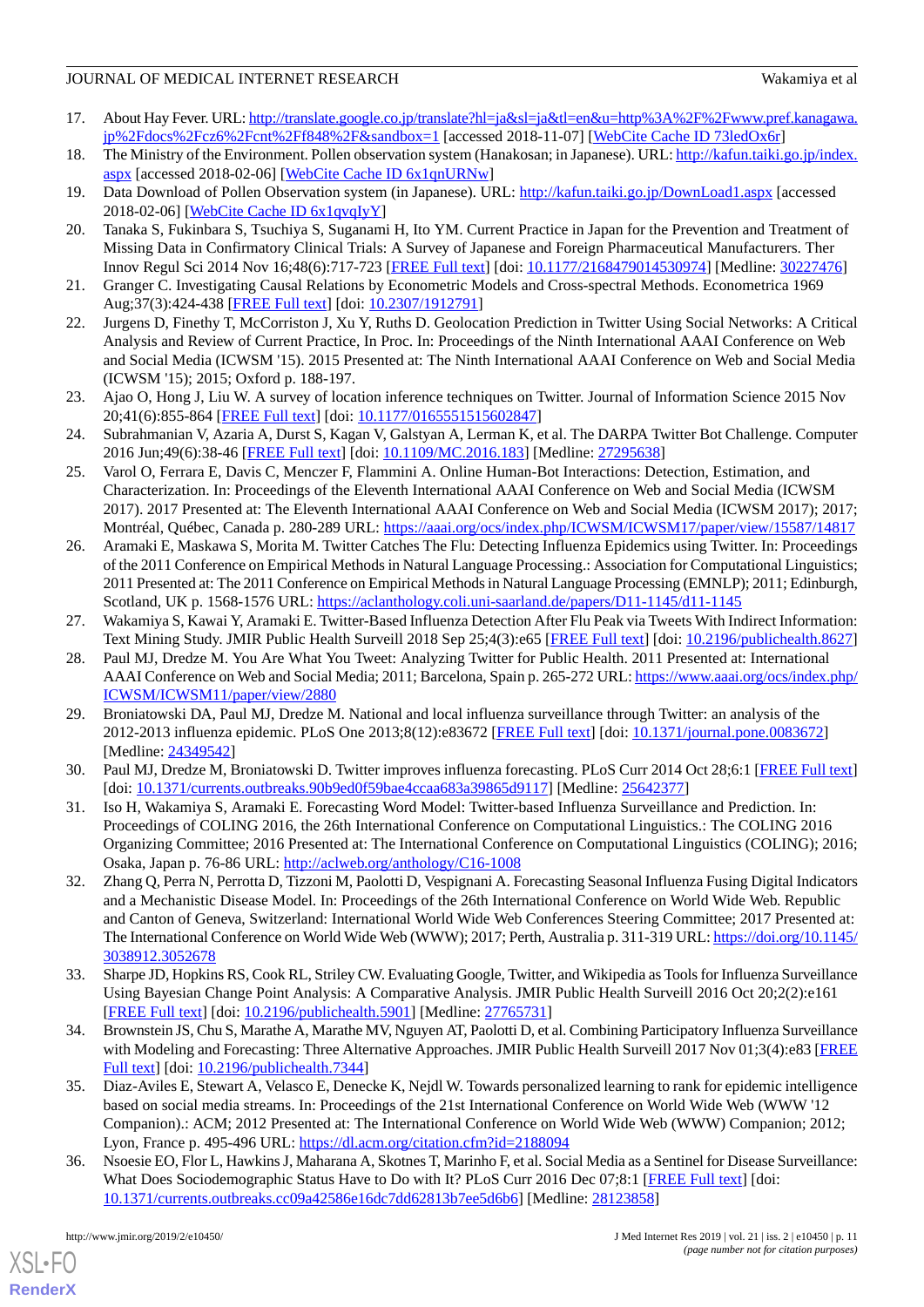- <span id="page-10-0"></span>17. About Hay Fever. URL: [http://translate.google.co.jp/translate?hl=ja&sl=ja&tl=en&u=http%3A%2F%2Fwww.pref.kanagawa.](http://translate.google.co.jp/translate?hl=ja&sl=ja&tl=en&u=http%3A%2F%2Fwww.pref.kanagawa.jp%2Fdocs%2Fcz6%2Fcnt%2Ff848%2F&sandbox=1) [jp%2Fdocs%2Fcz6%2Fcnt%2Ff848%2F&sandbox=1](http://translate.google.co.jp/translate?hl=ja&sl=ja&tl=en&u=http%3A%2F%2Fwww.pref.kanagawa.jp%2Fdocs%2Fcz6%2Fcnt%2Ff848%2F&sandbox=1) [accessed 2018-11-07] [\[WebCite Cache ID 73ledOx6r\]](http://www.webcitation.org/

                                            73ledOx6r)
- <span id="page-10-2"></span><span id="page-10-1"></span>18. The Ministry of the Environment. Pollen observation system (Hanakosan; in Japanese). URL: [http://kafun.taiki.go.jp/index.](http://kafun.taiki.go.jp/index.aspx) [aspx](http://kafun.taiki.go.jp/index.aspx) [accessed 2018-02-06] [[WebCite Cache ID 6x1qnURNw](http://www.webcitation.org/

                                            6x1qnURNw)]
- <span id="page-10-3"></span>19. Data Download of Pollen Observation system (in Japanese). URL: <http://kafun.taiki.go.jp/DownLoad1.aspx> [accessed 2018-02-06] [\[WebCite Cache ID 6x1qvqIyY\]](http://www.webcitation.org/

                                            6x1qvqIyY)
- 20. Tanaka S, Fukinbara S, Tsuchiya S, Suganami H, Ito YM. Current Practice in Japan for the Prevention and Treatment of Missing Data in Confirmatory Clinical Trials: A Survey of Japanese and Foreign Pharmaceutical Manufacturers. Ther Innov Regul Sci 2014 Nov 16;48(6):717-723 [\[FREE Full text\]](https://doi.org/10.1177/2168479014530974) [doi: [10.1177/2168479014530974](http://dx.doi.org/10.1177/2168479014530974)] [Medline: [30227476\]](http://www.ncbi.nlm.nih.gov/entrez/query.fcgi?cmd=Retrieve&db=PubMed&list_uids=30227476&dopt=Abstract)
- <span id="page-10-5"></span><span id="page-10-4"></span>21. Granger C. Investigating Causal Relations by Econometric Models and Cross-spectral Methods. Econometrica 1969 Aug;37(3):424-438 [\[FREE Full text](https://www.jstor.org/stable/1912791?seq=1#page_scan_tab_contents)] [doi: [10.2307/1912791](http://dx.doi.org/10.2307/1912791)]
- <span id="page-10-6"></span>22. Jurgens D, Finethy T, McCorriston J, Xu Y, Ruths D. Geolocation Prediction in Twitter Using Social Networks: A Critical Analysis and Review of Current Practice, In Proc. In: Proceedings of the Ninth International AAAI Conference on Web and Social Media (ICWSM '15). 2015 Presented at: The Ninth International AAAI Conference on Web and Social Media (ICWSM '15); 2015; Oxford p. 188-197.
- <span id="page-10-7"></span>23. Ajao O, Hong J, Liu W. A survey of location inference techniques on Twitter. Journal of Information Science 2015 Nov 20;41(6):855-864 [[FREE Full text](https://doi.org/10.1177/0165551515602847)] [doi: [10.1177/0165551515602847\]](http://dx.doi.org/10.1177/0165551515602847)
- <span id="page-10-8"></span>24. Subrahmanian V, Azaria A, Durst S, Kagan V, Galstyan A, Lerman K, et al. The DARPA Twitter Bot Challenge. Computer 2016 Jun;49(6):38-46 [\[FREE Full text\]](https://ieeexplore.ieee.org/document/7490315) [doi: [10.1109/MC.2016.183\]](http://dx.doi.org/10.1109/MC.2016.183) [Medline: [27295638\]](http://www.ncbi.nlm.nih.gov/entrez/query.fcgi?cmd=Retrieve&db=PubMed&list_uids=27295638&dopt=Abstract)
- <span id="page-10-9"></span>25. Varol O, Ferrara E, Davis C, Menczer F, Flammini A. Online Human-Bot Interactions: Detection, Estimation, and Characterization. In: Proceedings of the Eleventh International AAAI Conference on Web and Social Media (ICWSM 2017). 2017 Presented at: The Eleventh International AAAI Conference on Web and Social Media (ICWSM 2017); 2017; Montréal, Québec, Canada p. 280-289 URL:<https://aaai.org/ocs/index.php/ICWSM/ICWSM17/paper/view/15587/14817>
- <span id="page-10-10"></span>26. Aramaki E, Maskawa S, Morita M. Twitter Catches The Flu: Detecting Influenza Epidemics using Twitter. In: Proceedings of the 2011 Conference on Empirical Methods in Natural Language Processing.: Association for Computational Linguistics; 2011 Presented at: The 2011 Conference on Empirical Methods in Natural Language Processing (EMNLP); 2011; Edinburgh, Scotland, UK p. 1568-1576 URL: <https://aclanthology.coli.uni-saarland.de/papers/D11-1145/d11-1145>
- 27. Wakamiya S, Kawai Y, Aramaki E. Twitter-Based Influenza Detection After Flu Peak via Tweets With Indirect Information: Text Mining Study. JMIR Public Health Surveill 2018 Sep 25;4(3):e65 [[FREE Full text](https://publichealth.jmir.org/2018/3/e65/)] [doi: [10.2196/publichealth.8627](http://dx.doi.org/10.2196/publichealth.8627)]
- 28. Paul MJ, Dredze M. You Are What You Tweet: Analyzing Twitter for Public Health. 2011 Presented at: International AAAI Conference on Web and Social Media; 2011; Barcelona, Spain p. 265-272 URL: [https://www.aaai.org/ocs/index.php/](https://www.aaai.org/ocs/index.php/ICWSM/ICWSM11/paper/view/2880) [ICWSM/ICWSM11/paper/view/2880](https://www.aaai.org/ocs/index.php/ICWSM/ICWSM11/paper/view/2880)
- 29. Broniatowski DA, Paul MJ, Dredze M. National and local influenza surveillance through Twitter: an analysis of the 2012-2013 influenza epidemic. PLoS One 2013;8(12):e83672 [\[FREE Full text](http://dx.plos.org/10.1371/journal.pone.0083672)] [doi: [10.1371/journal.pone.0083672\]](http://dx.doi.org/10.1371/journal.pone.0083672) [Medline: [24349542](http://www.ncbi.nlm.nih.gov/entrez/query.fcgi?cmd=Retrieve&db=PubMed&list_uids=24349542&dopt=Abstract)]
- 30. Paul MJ, Dredze M, Broniatowski D. Twitter improves influenza forecasting. PLoS Curr 2014 Oct 28;6:1 [[FREE Full text](https://dx.doi.org/10.1371/currents.outbreaks.90b9ed0f59bae4ccaa683a39865d9117)] [doi: [10.1371/currents.outbreaks.90b9ed0f59bae4ccaa683a39865d9117](http://dx.doi.org/10.1371/currents.outbreaks.90b9ed0f59bae4ccaa683a39865d9117)] [Medline: [25642377\]](http://www.ncbi.nlm.nih.gov/entrez/query.fcgi?cmd=Retrieve&db=PubMed&list_uids=25642377&dopt=Abstract)
- 31. Iso H, Wakamiya S, Aramaki E. Forecasting Word Model: Twitter-based Influenza Surveillance and Prediction. In: Proceedings of COLING 2016, the 26th International Conference on Computational Linguistics.: The COLING 2016 Organizing Committee; 2016 Presented at: The International Conference on Computational Linguistics (COLING); 2016; Osaka, Japan p. 76-86 URL: <http://aclweb.org/anthology/C16-1008>
- <span id="page-10-11"></span>32. Zhang Q, Perra N, Perrotta D, Tizzoni M, Paolotti D, Vespignani A. Forecasting Seasonal Influenza Fusing Digital Indicators and a Mechanistic Disease Model. In: Proceedings of the 26th International Conference on World Wide Web. Republic and Canton of Geneva, Switzerland: International World Wide Web Conferences Steering Committee; 2017 Presented at: The International Conference on World Wide Web (WWW); 2017; Perth, Australia p. 311-319 URL: [https://doi.org/10.1145/](https://doi.org/10.1145/3038912.3052678) [3038912.3052678](https://doi.org/10.1145/3038912.3052678)
- <span id="page-10-12"></span>33. Sharpe JD, Hopkins RS, Cook RL, Striley CW. Evaluating Google, Twitter, and Wikipedia as Tools for Influenza Surveillance Using Bayesian Change Point Analysis: A Comparative Analysis. JMIR Public Health Surveill 2016 Oct 20;2(2):e161 [[FREE Full text](http://publichealth.jmir.org/2016/2/e161/)] [doi: [10.2196/publichealth.5901\]](http://dx.doi.org/10.2196/publichealth.5901) [Medline: [27765731](http://www.ncbi.nlm.nih.gov/entrez/query.fcgi?cmd=Retrieve&db=PubMed&list_uids=27765731&dopt=Abstract)]
- <span id="page-10-13"></span>34. Brownstein JS, Chu S, Marathe A, Marathe MV, Nguyen AT, Paolotti D, et al. Combining Participatory Influenza Surveillance with Modeling and Forecasting: Three Alternative Approaches. JMIR Public Health Surveill 2017 Nov 01;3(4):e83 [\[FREE](https://publichealth.jmir.org/2017/4/e83/) [Full text\]](https://publichealth.jmir.org/2017/4/e83/) [doi: [10.2196/publichealth.7344](http://dx.doi.org/10.2196/publichealth.7344)]
- 35. Diaz-Aviles E, Stewart A, Velasco E, Denecke K, Nejdl W. Towards personalized learning to rank for epidemic intelligence based on social media streams. In: Proceedings of the 21st International Conference on World Wide Web (WWW '12 Companion).: ACM; 2012 Presented at: The International Conference on World Wide Web (WWW) Companion; 2012; Lyon, France p. 495-496 URL: <https://dl.acm.org/citation.cfm?id=2188094>
- 36. Nsoesie EO, Flor L, Hawkins J, Maharana A, Skotnes T, Marinho F, et al. Social Media as a Sentinel for Disease Surveillance: What Does Sociodemographic Status Have to Do with It? PLoS Curr 2016 Dec 07;8:1 [[FREE Full text](https://dx.doi.org/10.1371/currents.outbreaks.cc09a42586e16dc7dd62813b7ee5d6b6)] [doi: [10.1371/currents.outbreaks.cc09a42586e16dc7dd62813b7ee5d6b6\]](http://dx.doi.org/10.1371/currents.outbreaks.cc09a42586e16dc7dd62813b7ee5d6b6) [Medline: [28123858\]](http://www.ncbi.nlm.nih.gov/entrez/query.fcgi?cmd=Retrieve&db=PubMed&list_uids=28123858&dopt=Abstract)